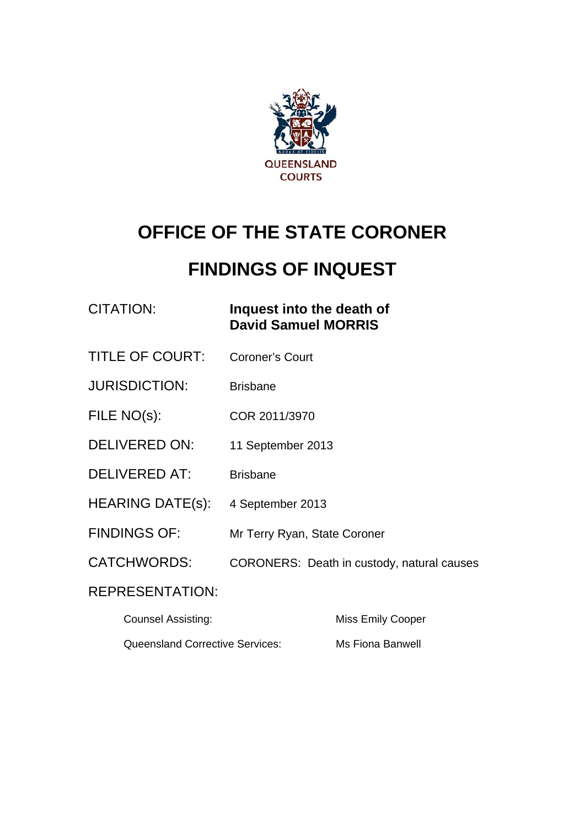

# **OFFICE OF THE STATE CORONER**

# **FINDINGS OF INQUEST**

### CITATION: **Inquest into the death of David Samuel MORRIS**

- TITLE OF COURT: Coroner's Court
- JURISDICTION: Brisbane
- FILE NO(s): COR 2011/3970
- DELIVERED ON: 11 September 2013
- DELIVERED AT: Brisbane
- HEARING DATE(s): 4 September 2013
- FINDINGS OF: Mr Terry Ryan, State Coroner
- CATCHWORDS: CORONERS: Death in custody, natural causes

#### REPRESENTATION:

| <b>Counsel Assisting:</b>              | Miss Emily Cooper |
|----------------------------------------|-------------------|
| <b>Queensland Corrective Services:</b> | Ms Fiona Banwell  |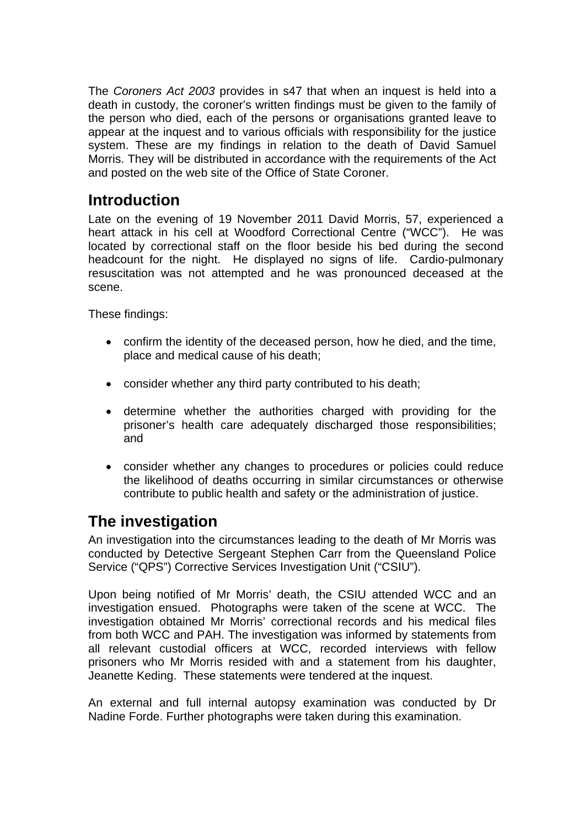The *Coroners Act 2003* provides in s47 that when an inquest is held into a death in custody, the coroner's written findings must be given to the family of the person who died, each of the persons or organisations granted leave to appear at the inquest and to various officials with responsibility for the justice system. These are my findings in relation to the death of David Samuel Morris. They will be distributed in accordance with the requirements of the Act and posted on the web site of the Office of State Coroner.

# **Introduction**

Late on the evening of 19 November 2011 David Morris, 57, experienced a heart attack in his cell at Woodford Correctional Centre ("WCC"). He was located by correctional staff on the floor beside his bed during the second headcount for the night. He displayed no signs of life. Cardio-pulmonary resuscitation was not attempted and he was pronounced deceased at the scene.

These findings:

- confirm the identity of the deceased person, how he died, and the time, place and medical cause of his death;
- consider whether any third party contributed to his death;
- determine whether the authorities charged with providing for the prisoner's health care adequately discharged those responsibilities; and
- consider whether any changes to procedures or policies could reduce the likelihood of deaths occurring in similar circumstances or otherwise contribute to public health and safety or the administration of justice.

# **The investigation**

An investigation into the circumstances leading to the death of Mr Morris was conducted by Detective Sergeant Stephen Carr from the Queensland Police Service ("QPS") Corrective Services Investigation Unit ("CSIU").

Upon being notified of Mr Morris' death, the CSIU attended WCC and an investigation ensued. Photographs were taken of the scene at WCC. The investigation obtained Mr Morris' correctional records and his medical files from both WCC and PAH. The investigation was informed by statements from all relevant custodial officers at WCC, recorded interviews with fellow prisoners who Mr Morris resided with and a statement from his daughter, Jeanette Keding. These statements were tendered at the inquest.

An external and full internal autopsy examination was conducted by Dr Nadine Forde. Further photographs were taken during this examination.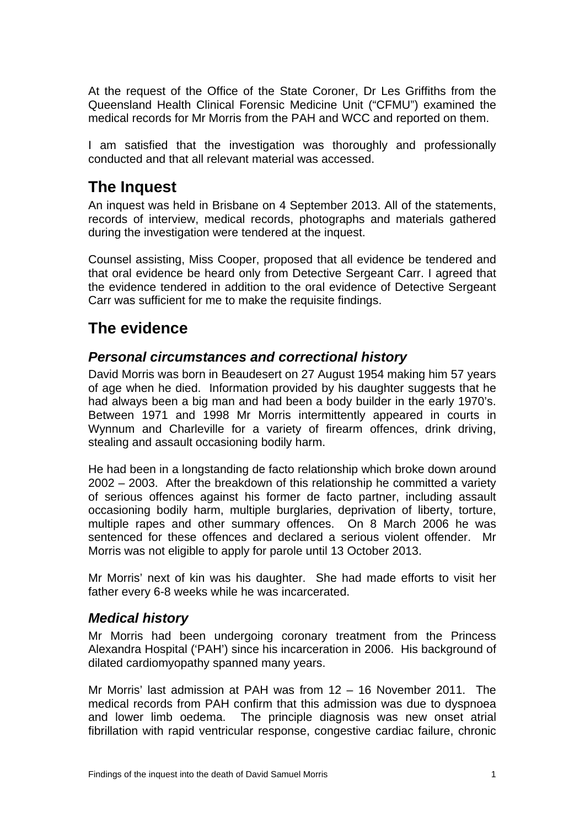At the request of the Office of the State Coroner, Dr Les Griffiths from the Queensland Health Clinical Forensic Medicine Unit ("CFMU") examined the medical records for Mr Morris from the PAH and WCC and reported on them.

I am satisfied that the investigation was thoroughly and professionally conducted and that all relevant material was accessed.

## **The Inquest**

An inquest was held in Brisbane on 4 September 2013. All of the statements, records of interview, medical records, photographs and materials gathered during the investigation were tendered at the inquest.

Counsel assisting, Miss Cooper, proposed that all evidence be tendered and that oral evidence be heard only from Detective Sergeant Carr. I agreed that the evidence tendered in addition to the oral evidence of Detective Sergeant Carr was sufficient for me to make the requisite findings.

# **The evidence**

#### *Personal circumstances and correctional history*

David Morris was born in Beaudesert on 27 August 1954 making him 57 years of age when he died. Information provided by his daughter suggests that he had always been a big man and had been a body builder in the early 1970's. Between 1971 and 1998 Mr Morris intermittently appeared in courts in Wynnum and Charleville for a variety of firearm offences, drink driving, stealing and assault occasioning bodily harm.

He had been in a longstanding de facto relationship which broke down around 2002 – 2003. After the breakdown of this relationship he committed a variety of serious offences against his former de facto partner, including assault occasioning bodily harm, multiple burglaries, deprivation of liberty, torture, multiple rapes and other summary offences. On 8 March 2006 he was sentenced for these offences and declared a serious violent offender. Mr Morris was not eligible to apply for parole until 13 October 2013.

Mr Morris' next of kin was his daughter. She had made efforts to visit her father every 6-8 weeks while he was incarcerated.

#### *Medical history*

Mr Morris had been undergoing coronary treatment from the Princess Alexandra Hospital ('PAH') since his incarceration in 2006. His background of dilated cardiomyopathy spanned many years.

Mr Morris' last admission at PAH was from 12 – 16 November 2011. The medical records from PAH confirm that this admission was due to dyspnoea and lower limb oedema. The principle diagnosis was new onset atrial fibrillation with rapid ventricular response, congestive cardiac failure, chronic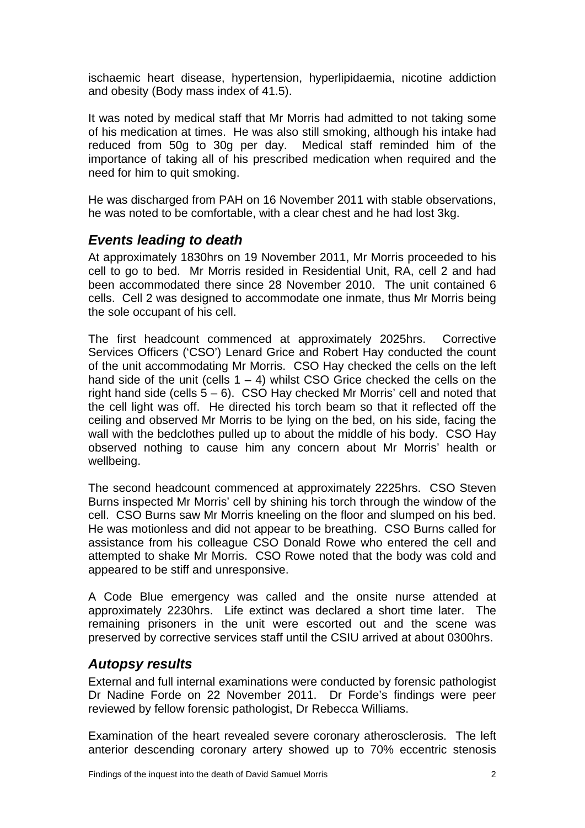ischaemic heart disease, hypertension, hyperlipidaemia, nicotine addiction and obesity (Body mass index of 41.5).

It was noted by medical staff that Mr Morris had admitted to not taking some of his medication at times. He was also still smoking, although his intake had reduced from 50g to 30g per day. Medical staff reminded him of the importance of taking all of his prescribed medication when required and the need for him to quit smoking.

He was discharged from PAH on 16 November 2011 with stable observations, he was noted to be comfortable, with a clear chest and he had lost 3kg.

#### *Events leading to death*

At approximately 1830hrs on 19 November 2011, Mr Morris proceeded to his cell to go to bed. Mr Morris resided in Residential Unit, RA, cell 2 and had been accommodated there since 28 November 2010. The unit contained 6 cells. Cell 2 was designed to accommodate one inmate, thus Mr Morris being the sole occupant of his cell.

The first headcount commenced at approximately 2025hrs. Corrective Services Officers ('CSO') Lenard Grice and Robert Hay conducted the count of the unit accommodating Mr Morris. CSO Hay checked the cells on the left hand side of the unit (cells  $1 - 4$ ) whilst CSO Grice checked the cells on the right hand side (cells  $5 - 6$ ). CSO Hay checked Mr Morris' cell and noted that the cell light was off. He directed his torch beam so that it reflected off the ceiling and observed Mr Morris to be lying on the bed, on his side, facing the wall with the bedclothes pulled up to about the middle of his body. CSO Hay observed nothing to cause him any concern about Mr Morris' health or wellbeing.

The second headcount commenced at approximately 2225hrs. CSO Steven Burns inspected Mr Morris' cell by shining his torch through the window of the cell. CSO Burns saw Mr Morris kneeling on the floor and slumped on his bed. He was motionless and did not appear to be breathing. CSO Burns called for assistance from his colleague CSO Donald Rowe who entered the cell and attempted to shake Mr Morris. CSO Rowe noted that the body was cold and appeared to be stiff and unresponsive.

A Code Blue emergency was called and the onsite nurse attended at approximately 2230hrs. Life extinct was declared a short time later. The remaining prisoners in the unit were escorted out and the scene was preserved by corrective services staff until the CSIU arrived at about 0300hrs.

#### *Autopsy results*

External and full internal examinations were conducted by forensic pathologist Dr Nadine Forde on 22 November 2011. Dr Forde's findings were peer reviewed by fellow forensic pathologist, Dr Rebecca Williams.

Examination of the heart revealed severe coronary atherosclerosis. The left anterior descending coronary artery showed up to 70% eccentric stenosis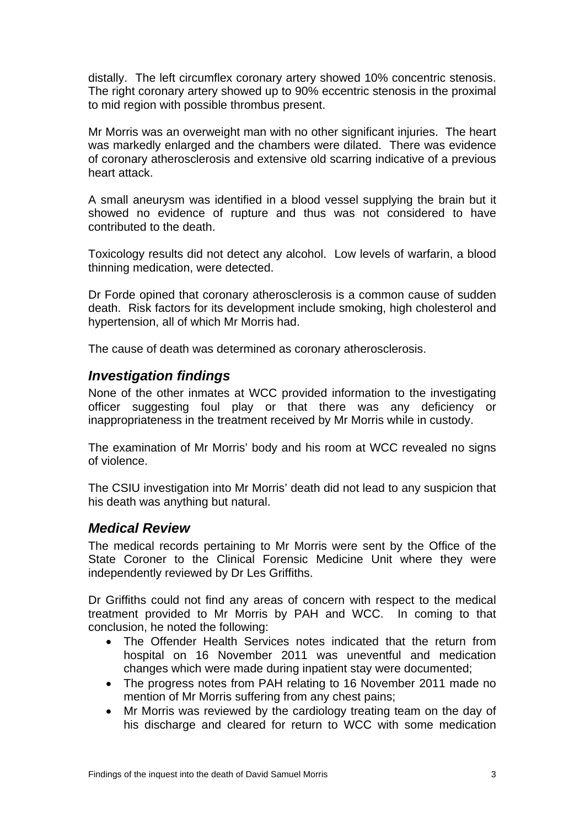distally. The left circumflex coronary artery showed 10% concentric stenosis. The right coronary artery showed up to 90% eccentric stenosis in the proximal to mid region with possible thrombus present.

Mr Morris was an overweight man with no other significant injuries. The heart was markedly enlarged and the chambers were dilated. There was evidence of coronary atherosclerosis and extensive old scarring indicative of a previous heart attack.

A small aneurysm was identified in a blood vessel supplying the brain but it showed no evidence of rupture and thus was not considered to have contributed to the death.

Toxicology results did not detect any alcohol. Low levels of warfarin, a blood thinning medication, were detected.

Dr Forde opined that coronary atherosclerosis is a common cause of sudden death. Risk factors for its development include smoking, high cholesterol and hypertension, all of which Mr Morris had.

The cause of death was determined as coronary atherosclerosis.

#### *Investigation findings*

None of the other inmates at WCC provided information to the investigating officer suggesting foul play or that there was any deficiency or inappropriateness in the treatment received by Mr Morris while in custody.

The examination of Mr Morris' body and his room at WCC revealed no signs of violence.

The CSIU investigation into Mr Morris' death did not lead to any suspicion that his death was anything but natural.

#### *Medical Review*

The medical records pertaining to Mr Morris were sent by the Office of the State Coroner to the Clinical Forensic Medicine Unit where they were independently reviewed by Dr Les Griffiths.

Dr Griffiths could not find any areas of concern with respect to the medical treatment provided to Mr Morris by PAH and WCC. In coming to that conclusion, he noted the following:

- The Offender Health Services notes indicated that the return from hospital on 16 November 2011 was uneventful and medication changes which were made during inpatient stay were documented;
- The progress notes from PAH relating to 16 November 2011 made no mention of Mr Morris suffering from any chest pains;
- Mr Morris was reviewed by the cardiology treating team on the day of his discharge and cleared for return to WCC with some medication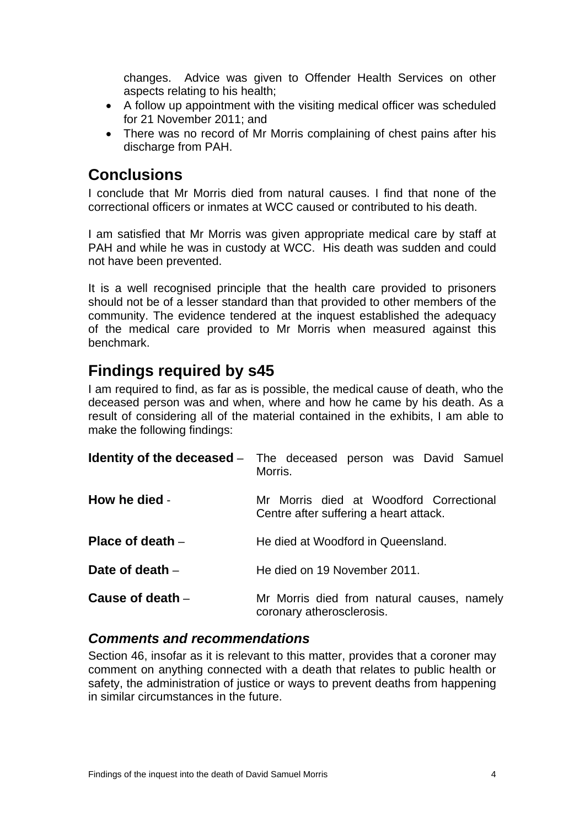changes. Advice was given to Offender Health Services on other aspects relating to his health;

- A follow up appointment with the visiting medical officer was scheduled for 21 November 2011; and
- There was no record of Mr Morris complaining of chest pains after his discharge from PAH.

## **Conclusions**

I conclude that Mr Morris died from natural causes. I find that none of the correctional officers or inmates at WCC caused or contributed to his death.

I am satisfied that Mr Morris was given appropriate medical care by staff at PAH and while he was in custody at WCC. His death was sudden and could not have been prevented.

It is a well recognised principle that the health care provided to prisoners should not be of a lesser standard than that provided to other members of the community. The evidence tendered at the inquest established the adequacy of the medical care provided to Mr Morris when measured against this benchmark.

# **Findings required by s45**

I am required to find, as far as is possible, the medical cause of death, who the deceased person was and when, where and how he came by his death. As a result of considering all of the material contained in the exhibits, I am able to make the following findings:

|                    | <b>Identity of the deceased</b> – The deceased person was David Samuel<br>Morris. |
|--------------------|-----------------------------------------------------------------------------------|
| How he died -      | Mr Morris died at Woodford Correctional<br>Centre after suffering a heart attack. |
| Place of death $-$ | He died at Woodford in Queensland.                                                |
| Date of death $-$  | He died on 19 November 2011.                                                      |
| Cause of death $-$ | Mr Morris died from natural causes, namely<br>coronary atherosclerosis.           |

#### *Comments and recommendations*

Section 46, insofar as it is relevant to this matter, provides that a coroner may comment on anything connected with a death that relates to public health or safety, the administration of justice or ways to prevent deaths from happening in similar circumstances in the future.